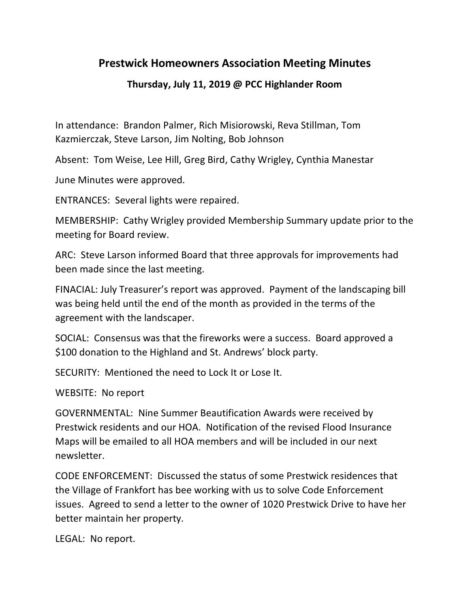## **Prestwick Homeowners Association Meeting Minutes**

## **Thursday, July 11, 2019 @ PCC Highlander Room**

In attendance: Brandon Palmer, Rich Misiorowski, Reva Stillman, Tom Kazmierczak, Steve Larson, Jim Nolting, Bob Johnson

Absent: Tom Weise, Lee Hill, Greg Bird, Cathy Wrigley, Cynthia Manestar

June Minutes were approved.

ENTRANCES: Several lights were repaired.

MEMBERSHIP: Cathy Wrigley provided Membership Summary update prior to the meeting for Board review.

ARC: Steve Larson informed Board that three approvals for improvements had been made since the last meeting.

FINACIAL: July Treasurer's report was approved. Payment of the landscaping bill was being held until the end of the month as provided in the terms of the agreement with the landscaper.

SOCIAL: Consensus was that the fireworks were a success. Board approved a \$100 donation to the Highland and St. Andrews' block party.

SECURITY: Mentioned the need to Lock It or Lose It.

WEBSITE: No report

GOVERNMENTAL: Nine Summer Beautification Awards were received by Prestwick residents and our HOA. Notification of the revised Flood Insurance Maps will be emailed to all HOA members and will be included in our next newsletter.

CODE ENFORCEMENT: Discussed the status of some Prestwick residences that the Village of Frankfort has bee working with us to solve Code Enforcement issues. Agreed to send a letter to the owner of 1020 Prestwick Drive to have her better maintain her property.

LEGAL: No report.